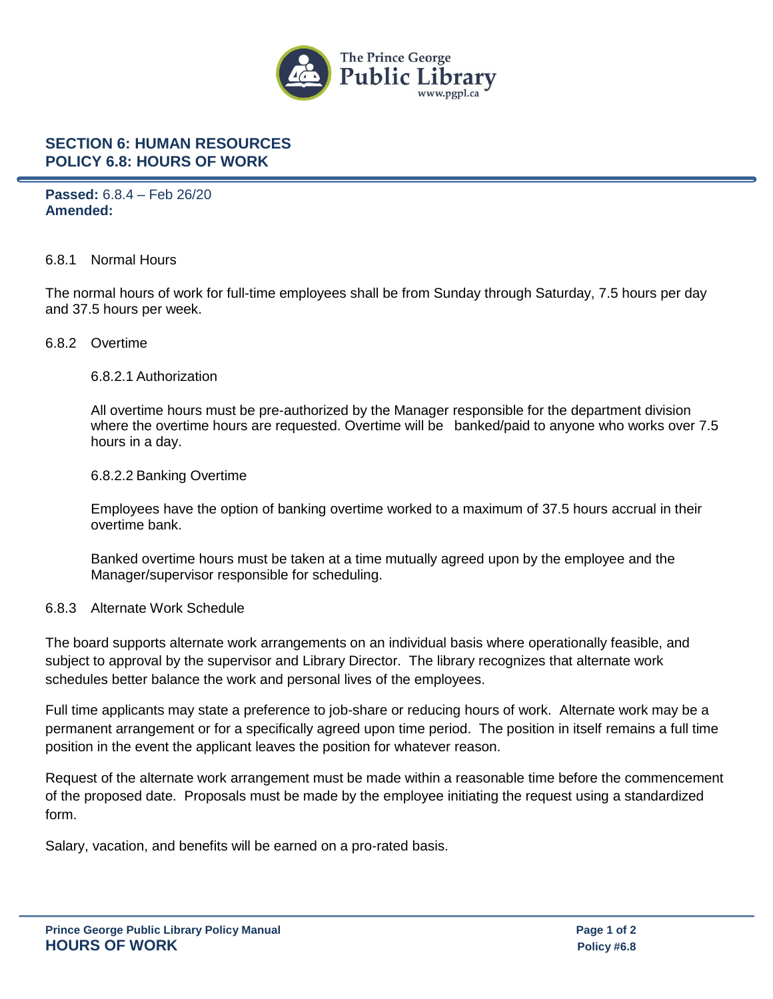

# **SECTION 6: HUMAN RESOURCES POLICY 6.8: HOURS OF WORK**

**Passed:** 6.8.4 – Feb 26/20 **Amended:**

### 6.8.1 Normal Hours

The normal hours of work for full-time employees shall be from Sunday through Saturday, 7.5 hours per day and 37.5 hours per week.

#### 6.8.2 Overtime

#### 6.8.2.1 Authorization

All overtime hours must be pre-authorized by the Manager responsible for the department division where the overtime hours are requested. Overtime will be banked/paid to anyone who works over 7.5 hours in a day.

#### 6.8.2.2 Banking Overtime

Employees have the option of banking overtime worked to a maximum of 37.5 hours accrual in their overtime bank.

Banked overtime hours must be taken at a time mutually agreed upon by the employee and the Manager/supervisor responsible for scheduling.

### 6.8.3 Alternate Work Schedule

The board supports alternate work arrangements on an individual basis where operationally feasible, and subject to approval by the supervisor and Library Director. The library recognizes that alternate work schedules better balance the work and personal lives of the employees.

Full time applicants may state a preference to job-share or reducing hours of work. Alternate work may be a permanent arrangement or for a specifically agreed upon time period. The position in itself remains a full time position in the event the applicant leaves the position for whatever reason.

Request of the alternate work arrangement must be made within a reasonable time before the commencement of the proposed date. Proposals must be made by the employee initiating the request using a standardized form.

Salary, vacation, and benefits will be earned on a pro-rated basis.